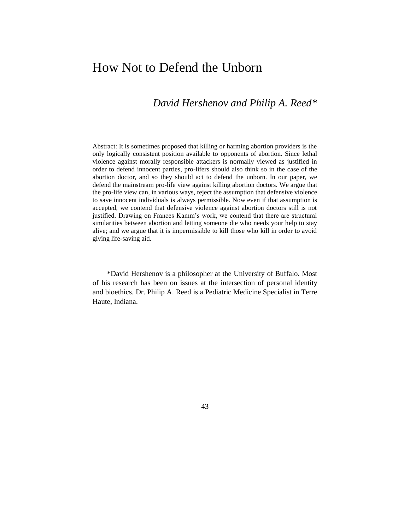# How Not to Defend the Unborn

# *David Hershenov and Philip A. Reed\**

Abstract: It is sometimes proposed that killing or harming abortion providers is the only logically consistent position available to opponents of abortion. Since lethal violence against morally responsible attackers is normally viewed as justified in order to defend innocent parties, pro-lifers should also think so in the case of the abortion doctor, and so they should act to defend the unborn. In our paper, we defend the mainstream pro-life view against killing abortion doctors. We argue that the pro-life view can, in various ways, reject the assumption that defensive violence to save innocent individuals is always permissible. Now even if that assumption is accepted, we contend that defensive violence against abortion doctors still is not justified. Drawing on Frances Kamm's work, we contend that there are structural similarities between abortion and letting someone die who needs your help to stay alive; and we argue that it is impermissible to kill those who kill in order to avoid giving life-saving aid.

\*David Hershenov is a philosopher at the University of Buffalo. Most of his research has been on issues at the intersection of personal identity and bioethics. Dr. Philip A. Reed is a Pediatric Medicine Specialist in Terre Haute, Indiana.

43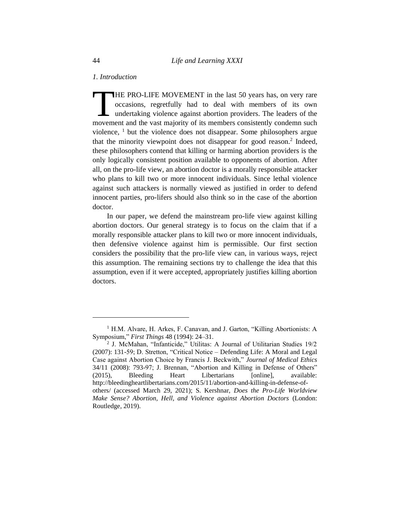## *1. Introduction*

HE PRO-LIFE MOVEMENT in the last 50 years has, on very rare occasions, regretfully had to deal with members of its own undertaking violence against abortion providers. The leaders of the THE PRO-LIFE MOVEMENT in the last 50 years has, on very rare occasions, regretfully had to deal with members of its own undertaking violence against abortion providers. The leaders of the movement and the vast majority of violence,  $\frac{1}{1}$  but the violence does not disappear. Some philosophers argue that the minority viewpoint does not disappear for good reason.<sup>2</sup> Indeed, these philosophers contend that killing or harming abortion providers is the only logically consistent position available to opponents of abortion. After all, on the pro-life view, an abortion doctor is a morally responsible attacker who plans to kill two or more innocent individuals. Since lethal violence against such attackers is normally viewed as justified in order to defend innocent parties, pro-lifers should also think so in the case of the abortion doctor.

In our paper, we defend the mainstream pro-life view against killing abortion doctors. Our general strategy is to focus on the claim that if a morally responsible attacker plans to kill two or more innocent individuals, then defensive violence against him is permissible. Our first section considers the possibility that the pro-life view can, in various ways, reject this assumption. The remaining sections try to challenge the idea that this assumption, even if it were accepted, appropriately justifies killing abortion doctors.

<sup>&</sup>lt;sup>1</sup> H.M. Alvare, H. Arkes, F. Canavan, and J. Garton, "Killing Abortionists: A Symposium," *First Things* 48 (1994): 24–31.

<sup>2</sup> J. McMahan, "Infanticide," Utilitas: A Journal of Utilitarian Studies 19/2 (2007): 131-59; D. Stretton, "Critical Notice – Defending Life: A Moral and Legal Case against Abortion Choice by Francis J. Beckwith," *Journal of Medical Ethics* 34/11 (2008): 793-97; J. Brennan, "Abortion and Killing in Defense of Others" (2015), Bleeding Heart Libertarians [online], available: http://bleedingheartlibertarians.com/2015/11/abortion-and-killing-in-defense-ofothers/ (accessed March 29, 2021); S. Kershnar, *Does the Pro-Life Worldview Make Sense? Abortion, Hell, and Violence against Abortion Doctors* (London: Routledge, 2019).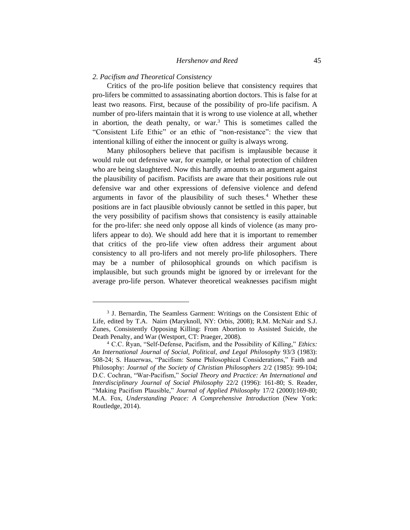#### *2. Pacifism and Theoretical Consistency*

Critics of the pro-life position believe that consistency requires that pro-lifers be committed to assassinating abortion doctors. This is false for at least two reasons. First, because of the possibility of pro-life pacifism. A number of pro-lifers maintain that it is wrong to use violence at all, whether in abortion, the death penalty, or war.<sup>3</sup> This is sometimes called the "Consistent Life Ethic" or an ethic of "non-resistance": the view that intentional killing of either the innocent or guilty is always wrong.

Many philosophers believe that pacifism is implausible because it would rule out defensive war, for example, or lethal protection of children who are being slaughtered. Now this hardly amounts to an argument against the plausibility of pacifism. Pacifists are aware that their positions rule out defensive war and other expressions of defensive violence and defend arguments in favor of the plausibility of such theses.<sup>4</sup> Whether these positions are in fact plausible obviously cannot be settled in this paper, but the very possibility of pacifism shows that consistency is easily attainable for the pro-lifer: she need only oppose all kinds of violence (as many prolifers appear to do). We should add here that it is important to remember that critics of the pro-life view often address their argument about consistency to all pro-lifers and not merely pro-life philosophers. There may be a number of philosophical grounds on which pacifism is implausible, but such grounds might be ignored by or irrelevant for the average pro-life person. Whatever theoretical weaknesses pacifism might

<sup>&</sup>lt;sup>3</sup> J. Bernardin, The Seamless Garment: Writings on the Consistent Ethic of Life, edited by T.A. Nairn (Maryknoll, NY: Orbis, 2008); R.M. McNair and S.J. Zunes, Consistently Opposing Killing: From Abortion to Assisted Suicide, the Death Penalty, and War (Westport, CT: Praeger, 2008).

<sup>4</sup> C.C. Ryan, "Self-Defense, Pacifism, and the Possibility of Killing," *Ethics: An International Journal of Social, Political, and Legal Philosophy* 93/3 (1983): 508-24; S. Hauerwas, "Pacifism: Some Philosophical Considerations," Faith and Philosophy: *Journal of the Society of Christian Philosophers* 2/2 (1985): 99-104; D.C. Cochran, "War-Pacifism," *Social Theory and Practice: An International and Interdisciplinary Journal of Social Philosophy* 22/2 (1996): 161-80; S. Reader, "Making Pacifism Plausible," *Journal of Applied Philosophy* 17/2 (2000):169-80; M.A. Fox, *Understanding Peace: A Comprehensive Introduction* (New York: Routledge, 2014).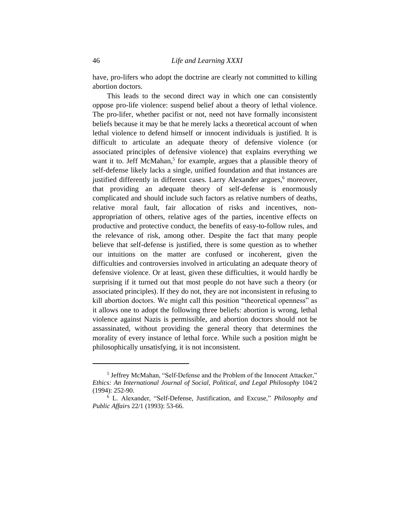have, pro-lifers who adopt the doctrine are clearly not committed to killing abortion doctors.

This leads to the second direct way in which one can consistently oppose pro-life violence: suspend belief about a theory of lethal violence. The pro-lifer, whether pacifist or not, need not have formally inconsistent beliefs because it may be that he merely lacks a theoretical account of when lethal violence to defend himself or innocent individuals is justified. It is difficult to articulate an adequate theory of defensive violence (or associated principles of defensive violence) that explains everything we want it to. Jeff McMahan,<sup>5</sup> for example, argues that a plausible theory of self-defense likely lacks a single, unified foundation and that instances are justified differently in different cases. Larry Alexander argues,<sup>6</sup> moreover, that providing an adequate theory of self-defense is enormously complicated and should include such factors as relative numbers of deaths, relative moral fault, fair allocation of risks and incentives, nonappropriation of others, relative ages of the parties, incentive effects on productive and protective conduct, the benefits of easy-to-follow rules, and the relevance of risk, among other. Despite the fact that many people believe that self-defense is justified, there is some question as to whether our intuitions on the matter are confused or incoherent, given the difficulties and controversies involved in articulating an adequate theory of defensive violence. Or at least, given these difficulties, it would hardly be surprising if it turned out that most people do not have such a theory (or associated principles). If they do not, they are not inconsistent in refusing to kill abortion doctors. We might call this position "theoretical openness" as it allows one to adopt the following three beliefs: abortion is wrong, lethal violence against Nazis is permissible, and abortion doctors should not be assassinated, without providing the general theory that determines the morality of every instance of lethal force. While such a position might be philosophically unsatisfying, it is not inconsistent.

<sup>&</sup>lt;sup>5</sup> Jeffrey McMahan, "Self-Defense and the Problem of the Innocent Attacker," *Ethics: An International Journal of Social, Political, and Legal Philosophy* 104/2 (1994): 252-90.

<sup>6</sup> L. Alexander, "Self-Defense, Justification, and Excuse," *Philosophy and Public Affair*s 22/1 (1993): 53-66.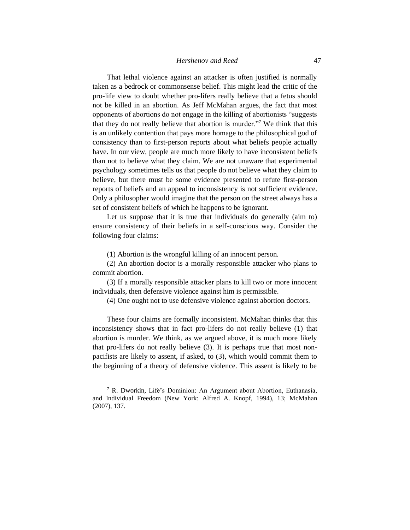That lethal violence against an attacker is often justified is normally taken as a bedrock or commonsense belief. This might lead the critic of the pro-life view to doubt whether pro-lifers really believe that a fetus should not be killed in an abortion. As Jeff McMahan argues, the fact that most opponents of abortions do not engage in the killing of abortionists "suggests that they do not really believe that abortion is murder."<sup>7</sup> We think that this is an unlikely contention that pays more homage to the philosophical god of consistency than to first-person reports about what beliefs people actually have. In our view, people are much more likely to have inconsistent beliefs than not to believe what they claim. We are not unaware that experimental psychology sometimes tells us that people do not believe what they claim to believe, but there must be some evidence presented to refute first-person reports of beliefs and an appeal to inconsistency is not sufficient evidence. Only a philosopher would imagine that the person on the street always has a set of consistent beliefs of which he happens to be ignorant.

Let us suppose that it is true that individuals do generally (aim to) ensure consistency of their beliefs in a self-conscious way. Consider the following four claims:

(1) Abortion is the wrongful killing of an innocent person.

(2) An abortion doctor is a morally responsible attacker who plans to commit abortion.

(3) If a morally responsible attacker plans to kill two or more innocent individuals, then defensive violence against him is permissible.

(4) One ought not to use defensive violence against abortion doctors.

These four claims are formally inconsistent. McMahan thinks that this inconsistency shows that in fact pro-lifers do not really believe (1) that abortion is murder. We think, as we argued above, it is much more likely that pro-lifers do not really believe (3). It is perhaps true that most nonpacifists are likely to assent, if asked, to (3), which would commit them to the beginning of a theory of defensive violence. This assent is likely to be

<sup>7</sup> R. Dworkin, Life's Dominion: An Argument about Abortion, Euthanasia, and Individual Freedom (New York: Alfred A. Knopf, 1994), 13; McMahan (2007), 137.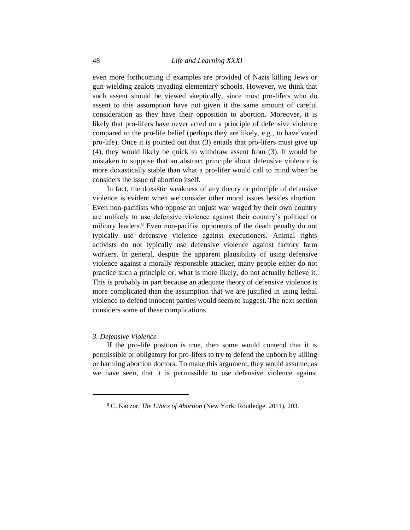even more forthcoming if examples are provided of Nazis killing Jews or gun-wielding zealots invading elementary schools. However, we think that such assent should be viewed skeptically, since most pro-lifers who do assent to this assumption have not given it the same amount of careful consideration as they have their opposition to abortion. Moreover, it is likely that pro-lifers have never acted on a principle of defensive violence compared to the pro-life belief (perhaps they are likely, e.g., to have voted pro-life). Once it is pointed out that (3) entails that pro-lifers must give up (4), they would likely be quick to withdraw assent from (3). It would be mistaken to suppose that an abstract principle about defensive violence is more doxastically stable than what a pro-lifer would call to mind when he considers the issue of abortion itself.

In fact, the doxastic weakness of any theory or principle of defensive violence is evident when we consider other moral issues besides abortion. Even non-pacifists who oppose an unjust war waged by their own country are unlikely to use defensive violence against their country's political or military leaders.<sup>8</sup> Even non-pacifist opponents of the death penalty do not typically use defensive violence against executioners. Animal rights activists do not typically use defensive violence against factory farm workers. In general, despite the apparent plausibility of using defensive violence against a morally responsible attacker, many people either do not practice such a principle or, what is more likely, do not actually believe it. This is probably in part because an adequate theory of defensive violence is more complicated than the assumption that we are justified in using lethal violence to defend innocent parties would seem to suggest. The next section considers some of these complications.

#### *3. Defensive Violence*

If the pro-life position is true, then some would contend that it is permissible or obligatory for pro-lifers to try to defend the unborn by killing or harming abortion doctors. To make this argument, they would assume, as we have seen, that it is permissible to use defensive violence against

<sup>8</sup> C. Kaczor, *The Ethics of Abortion* (New York: Routledge. 2011), 203.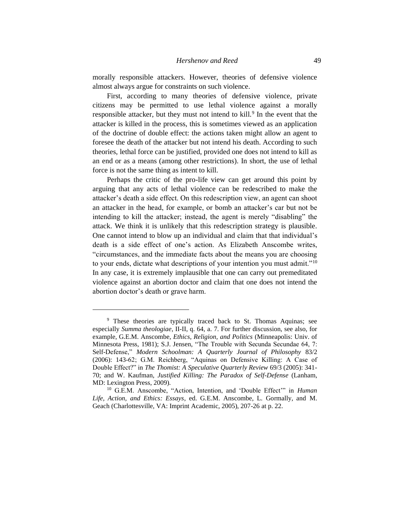morally responsible attackers. However, theories of defensive violence almost always argue for constraints on such violence.

First, according to many theories of defensive violence, private citizens may be permitted to use lethal violence against a morally responsible attacker, but they must not intend to kill.<sup>9</sup> In the event that the attacker is killed in the process, this is sometimes viewed as an application of the doctrine of double effect: the actions taken might allow an agent to foresee the death of the attacker but not intend his death. According to such theories, lethal force can be justified, provided one does not intend to kill as an end or as a means (among other restrictions). In short, the use of lethal force is not the same thing as intent to kill.

Perhaps the critic of the pro-life view can get around this point by arguing that any acts of lethal violence can be redescribed to make the attacker's death a side effect. On this redescription view, an agent can shoot an attacker in the head, for example, or bomb an attacker's car but not be intending to kill the attacker; instead, the agent is merely "disabling" the attack. We think it is unlikely that this redescription strategy is plausible. One cannot intend to blow up an individual and claim that that individual's death is a side effect of one's action. As Elizabeth Anscombe writes, "circumstances, and the immediate facts about the means you are choosing to your ends, dictate what descriptions of your intention you must admit."<sup>10</sup> In any case, it is extremely implausible that one can carry out premeditated violence against an abortion doctor and claim that one does not intend the abortion doctor's death or grave harm.

<sup>&</sup>lt;sup>9</sup> These theories are typically traced back to St. Thomas Aquinas; see especially *Summa theologiae*, II-II, q. 64, a. 7. For further discussion, see also, for example, G.E.M. Anscombe, *Ethics, Religion, and Politics* (Minneapolis: Univ. of Minnesota Press, 1981); S.J. Jensen, "The Trouble with Secunda Secundae 64, 7: Self-Defense," *Modern Schoolman: A Quarterly Journal of Philosophy* 83/2 (2006): 143-62; G.M. Reichberg, "Aquinas on Defensive Killing: A Case of Double Effect?" in *The Thomist: A Speculative Quarterly Review* 69/3 (2005): 341- 70; and W. Kaufman, *Justified Killing: The Paradox of Self-Defense* (Lanham, MD: Lexington Press, 2009).

<sup>10</sup> G.E.M. Anscombe, "Action, Intention, and 'Double Effect'" in *Human Life, Action, and Ethics: Essays*, ed. G.E.M. Anscombe, L. Gormally, and M. Geach (Charlottesville, VA: Imprint Academic, 2005), 207-26 at p. 22.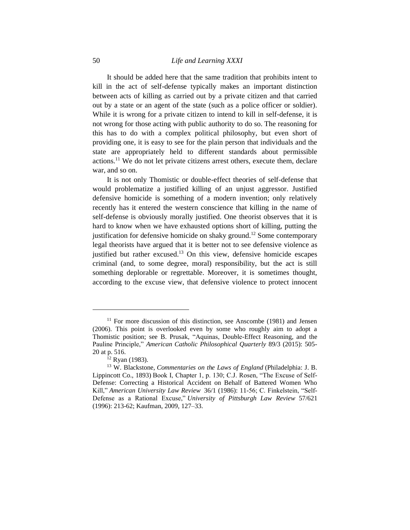# 50 *Life and Learning XXXI*

It should be added here that the same tradition that prohibits intent to kill in the act of self-defense typically makes an important distinction between acts of killing as carried out by a private citizen and that carried out by a state or an agent of the state (such as a police officer or soldier). While it is wrong for a private citizen to intend to kill in self-defense, it is not wrong for those acting with public authority to do so. The reasoning for this has to do with a complex political philosophy, but even short of providing one, it is easy to see for the plain person that individuals and the state are appropriately held to different standards about permissible actions.<sup>11</sup> We do not let private citizens arrest others, execute them, declare war, and so on.

It is not only Thomistic or double-effect theories of self-defense that would problematize a justified killing of an unjust aggressor. Justified defensive homicide is something of a modern invention; only relatively recently has it entered the western conscience that killing in the name of self-defense is obviously morally justified. One theorist observes that it is hard to know when we have exhausted options short of killing, putting the justification for defensive homicide on shaky ground.<sup>12</sup> Some contemporary legal theorists have argued that it is better not to see defensive violence as justified but rather excused.<sup>13</sup> On this view, defensive homicide escapes criminal (and, to some degree, moral) responsibility, but the act is still something deplorable or regrettable. Moreover, it is sometimes thought, according to the excuse view, that defensive violence to protect innocent

 $11$  For more discussion of this distinction, see Anscombe (1981) and Jensen (2006). This point is overlooked even by some who roughly aim to adopt a Thomistic position; see B. Prusak, "Aquinas, Double-Effect Reasoning, and the Pauline Principle," *American Catholic Philosophical Quarterly* 89/3 (2015): 505- 20 at p. 516.

 $^{12}$  Ryan (1983).

<sup>13</sup> W. Blackstone, *Commentaries on the Laws of England* (Philadelphia: J. B. Lippincott Co., 1893) Book I, Chapter 1, p. 130; C.J. Rosen, "The Excuse of Self-Defense: Correcting a Historical Accident on Behalf of Battered Women Who Kill," *American University Law Review* 36/1 (1986): 11-56; C. Finkelstein, "Self-Defense as a Rational Excuse," *University of Pittsburgh Law Review* 57/621 (1996): 213-62; Kaufman, 2009, 127–33.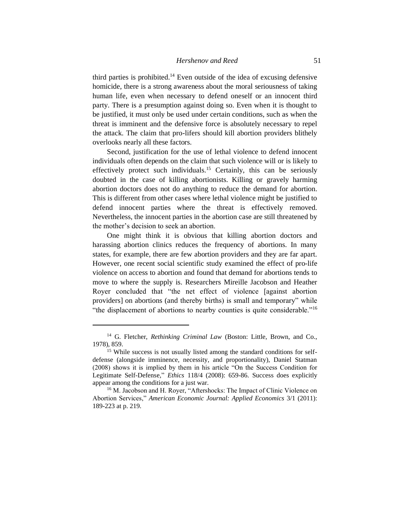third parties is prohibited.<sup>14</sup> Even outside of the idea of excusing defensive homicide, there is a strong awareness about the moral seriousness of taking human life, even when necessary to defend oneself or an innocent third party. There is a presumption against doing so. Even when it is thought to be justified, it must only be used under certain conditions, such as when the threat is imminent and the defensive force is absolutely necessary to repel the attack. The claim that pro-lifers should kill abortion providers blithely overlooks nearly all these factors.

Second, justification for the use of lethal violence to defend innocent individuals often depends on the claim that such violence will or is likely to effectively protect such individuals.<sup>15</sup> Certainly, this can be seriously doubted in the case of killing abortionists. Killing or gravely harming abortion doctors does not do anything to reduce the demand for abortion. This is different from other cases where lethal violence might be justified to defend innocent parties where the threat is effectively removed. Nevertheless, the innocent parties in the abortion case are still threatened by the mother's decision to seek an abortion.

One might think it is obvious that killing abortion doctors and harassing abortion clinics reduces the frequency of abortions. In many states, for example, there are few abortion providers and they are far apart. However, one recent social scientific study examined the effect of pro-life violence on access to abortion and found that demand for abortions tends to move to where the supply is. Researchers Mireille Jacobson and Heather Royer concluded that "the net effect of violence [against abortion providers] on abortions (and thereby births) is small and temporary" while "the displacement of abortions to nearby counties is quite considerable."<sup>16</sup>

<sup>&</sup>lt;sup>14</sup> G. Fletcher, *Rethinking Criminal Law* (Boston: Little, Brown, and Co., 1978), 859.

<sup>&</sup>lt;sup>15</sup> While success is not usually listed among the standard conditions for selfdefense (alongside imminence, necessity, and proportionality), Daniel Statman (2008) shows it is implied by them in his article "On the Success Condition for Legitimate Self-Defense," *Ethics* 118/4 (2008): 659-86. Success does explicitly appear among the conditions for a just war.

<sup>&</sup>lt;sup>16</sup> M. Jacobson and H. Royer, "Aftershocks: The Impact of Clinic Violence on Abortion Services," *American Economic Journal: Applied Economics* 3/1 (2011): 189-223 at p. 219.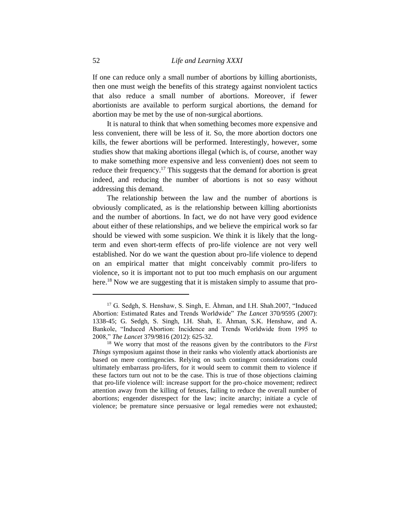If one can reduce only a small number of abortions by killing abortionists, then one must weigh the benefits of this strategy against nonviolent tactics that also reduce a small number of abortions. Moreover, if fewer abortionists are available to perform surgical abortions, the demand for abortion may be met by the use of non-surgical abortions.

It is natural to think that when something becomes more expensive and less convenient, there will be less of it. So, the more abortion doctors one kills, the fewer abortions will be performed. Interestingly, however, some studies show that making abortions illegal (which is, of course, another way to make something more expensive and less convenient) does not seem to reduce their frequency.<sup>17</sup> This suggests that the demand for abortion is great indeed, and reducing the number of abortions is not so easy without addressing this demand.

The relationship between the law and the number of abortions is obviously complicated, as is the relationship between killing abortionists and the number of abortions. In fact, we do not have very good evidence about either of these relationships, and we believe the empirical work so far should be viewed with some suspicion. We think it is likely that the longterm and even short-term effects of pro-life violence are not very well established. Nor do we want the question about pro-life violence to depend on an empirical matter that might conceivably commit pro-lifers to violence, so it is important not to put too much emphasis on our argument here.<sup>18</sup> Now we are suggesting that it is mistaken simply to assume that pro-

<sup>&</sup>lt;sup>17</sup> G. Sedgh, S. Henshaw, S. Singh, E. Åhman, and I.H. Shah.2007, "Induced Abortion: Estimated Rates and Trends Worldwide" *The Lancet* 370/9595 (2007): 1338-45; G. Sedgh, S. Singh, I.H. Shah, E. Åhman, S.K. Henshaw, and A. Bankole, "Induced Abortion: Incidence and Trends Worldwide from 1995 to 2008," *The Lancet* 379/9816 (2012): 625-32.

<sup>18</sup> We worry that most of the reasons given by the contributors to the *First Things* symposium against those in their ranks who violently attack abortionists are based on mere contingencies. Relying on such contingent considerations could ultimately embarrass pro-lifers, for it would seem to commit them to violence if these factors turn out not to be the case. This is true of those objections claiming that pro-life violence will: increase support for the pro-choice movement; redirect attention away from the killing of fetuses, failing to reduce the overall number of abortions; engender disrespect for the law; incite anarchy; initiate a cycle of violence; be premature since persuasive or legal remedies were not exhausted;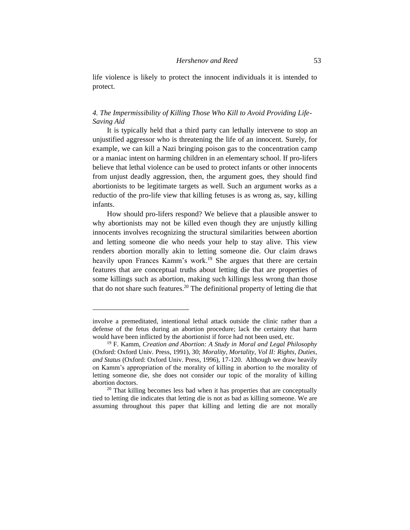life violence is likely to protect the innocent individuals it is intended to protect.

# *4. The Impermissibility of Killing Those Who Kill to Avoid Providing Life-Saving Aid*

It is typically held that a third party can lethally intervene to stop an unjustified aggressor who is threatening the life of an innocent. Surely, for example, we can kill a Nazi bringing poison gas to the concentration camp or a maniac intent on harming children in an elementary school. If pro-lifers believe that lethal violence can be used to protect infants or other innocents from unjust deadly aggression, then, the argument goes, they should find abortionists to be legitimate targets as well. Such an argument works as a reductio of the pro-life view that killing fetuses is as wrong as, say, killing infants.

How should pro-lifers respond? We believe that a plausible answer to why abortionists may not be killed even though they are unjustly killing innocents involves recognizing the structural similarities between abortion and letting someone die who needs your help to stay alive. This view renders abortion morally akin to letting someone die. Our claim draws heavily upon Frances Kamm's work.<sup>19</sup> She argues that there are certain features that are conceptual truths about letting die that are properties of some killings such as abortion, making such killings less wrong than those that do not share such features.<sup>20</sup> The definitional property of letting die that

involve a premeditated, intentional lethal attack outside the clinic rather than a defense of the fetus during an abortion procedure; lack the certainty that harm would have been inflicted by the abortionist if force had not been used, etc.

<sup>19</sup> F. Kamm, *Creation and Abortion: A Study in Moral and Legal Philosophy* (Oxford: Oxford Univ. Press, 1991), 30; *Morality, Mortality, Vol II: Rights, Duties, and Status* (Oxford: Oxford Univ. Press, 1996), 17-120. Although we draw heavily on Kamm's appropriation of the morality of killing in abortion to the morality of letting someone die, she does not consider our topic of the morality of killing abortion doctors.

<sup>&</sup>lt;sup>20</sup> That killing becomes less bad when it has properties that are conceptually tied to letting die indicates that letting die is not as bad as killing someone. We are assuming throughout this paper that killing and letting die are not morally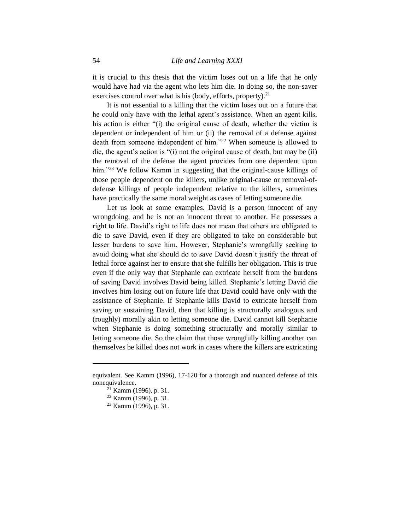it is crucial to this thesis that the victim loses out on a life that he only would have had via the agent who lets him die. In doing so, the non-saver exercises control over what is his (body, efforts, property). $21$ 

It is not essential to a killing that the victim loses out on a future that he could only have with the lethal agent's assistance. When an agent kills, his action is either "(i) the original cause of death, whether the victim is dependent or independent of him or (ii) the removal of a defense against death from someone independent of him."<sup>22</sup> When someone is allowed to die, the agent's action is "(i) not the original cause of death, but may be (ii) the removal of the defense the agent provides from one dependent upon him."<sup>23</sup> We follow Kamm in suggesting that the original-cause killings of those people dependent on the killers, unlike original-cause or removal-ofdefense killings of people independent relative to the killers, sometimes have practically the same moral weight as cases of letting someone die.

Let us look at some examples. David is a person innocent of any wrongdoing, and he is not an innocent threat to another. He possesses a right to life. David's right to life does not mean that others are obligated to die to save David, even if they are obligated to take on considerable but lesser burdens to save him. However, Stephanie's wrongfully seeking to avoid doing what she should do to save David doesn't justify the threat of lethal force against her to ensure that she fulfills her obligation. This is true even if the only way that Stephanie can extricate herself from the burdens of saving David involves David being killed. Stephanie's letting David die involves him losing out on future life that David could have only with the assistance of Stephanie. If Stephanie kills David to extricate herself from saving or sustaining David, then that killing is structurally analogous and (roughly) morally akin to letting someone die. David cannot kill Stephanie when Stephanie is doing something structurally and morally similar to letting someone die. So the claim that those wrongfully killing another can themselves be killed does not work in cases where the killers are extricating

equivalent. See Kamm (1996), 17-120 for a thorough and nuanced defense of this nonequivalence.

<sup>21</sup> Kamm (1996), p. 31.

<sup>22</sup> Kamm (1996), p. 31.

<sup>23</sup> Kamm (1996), p. 31.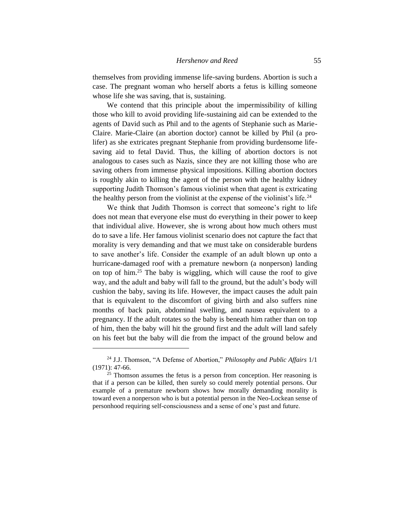themselves from providing immense life-saving burdens. Abortion is such a case. The pregnant woman who herself aborts a fetus is killing someone whose life she was saving, that is, sustaining.

We contend that this principle about the impermissibility of killing those who kill to avoid providing life-sustaining aid can be extended to the agents of David such as Phil and to the agents of Stephanie such as Marie-Claire. Marie-Claire (an abortion doctor) cannot be killed by Phil (a prolifer) as she extricates pregnant Stephanie from providing burdensome lifesaving aid to fetal David. Thus, the killing of abortion doctors is not analogous to cases such as Nazis, since they are not killing those who are saving others from immense physical impositions. Killing abortion doctors is roughly akin to killing the agent of the person with the healthy kidney supporting Judith Thomson's famous violinist when that agent is extricating the healthy person from the violinist at the expense of the violinist's life.<sup>24</sup>

We think that Judith Thomson is correct that someone's right to life does not mean that everyone else must do everything in their power to keep that individual alive. However, she is wrong about how much others must do to save a life. Her famous violinist scenario does not capture the fact that morality is very demanding and that we must take on considerable burdens to save another's life. Consider the example of an adult blown up onto a hurricane-damaged roof with a premature newborn (a nonperson) landing on top of him.<sup>25</sup> The baby is wiggling, which will cause the roof to give way, and the adult and baby will fall to the ground, but the adult's body will cushion the baby, saving its life. However, the impact causes the adult pain that is equivalent to the discomfort of giving birth and also suffers nine months of back pain, abdominal swelling, and nausea equivalent to a pregnancy. If the adult rotates so the baby is beneath him rather than on top of him, then the baby will hit the ground first and the adult will land safely on his feet but the baby will die from the impact of the ground below and

<sup>24</sup> J.J. Thomson, "A Defense of Abortion," *Philosophy and Public Affairs* 1/1 (1971): 47-66.

 $25$  Thomson assumes the fetus is a person from conception. Her reasoning is that if a person can be killed, then surely so could merely potential persons. Our example of a premature newborn shows how morally demanding morality is toward even a nonperson who is but a potential person in the Neo-Lockean sense of personhood requiring self-consciousness and a sense of one's past and future.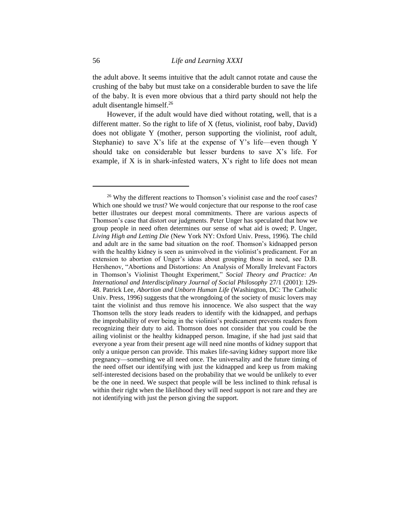the adult above. It seems intuitive that the adult cannot rotate and cause the crushing of the baby but must take on a considerable burden to save the life of the baby. It is even more obvious that a third party should not help the adult disentangle himself.<sup>26</sup>

However, if the adult would have died without rotating, well, that is a different matter. So the right to life of X (fetus, violinist, roof baby, David) does not obligate Y (mother, person supporting the violinist, roof adult, Stephanie) to save  $X$ 's life at the expense of  $Y$ 's life—even though Y should take on considerable but lesser burdens to save X's life. For example, if X is in shark-infested waters, X's right to life does not mean

<sup>&</sup>lt;sup>26</sup> Why the different reactions to Thomson's violinist case and the roof cases? Which one should we trust? We would conjecture that our response to the roof case better illustrates our deepest moral commitments. There are various aspects of Thomson's case that distort our judgments. Peter Unger has speculated that how we group people in need often determines our sense of what aid is owed; P. Unger, *Living High and Letting Die* (New York NY: Oxford Univ. Press, 1996). The child and adult are in the same bad situation on the roof. Thomson's kidnapped person with the healthy kidney is seen as uninvolved in the violinist's predicament. For an extension to abortion of Unger's ideas about grouping those in need, see D.B. Hershenov, "Abortions and Distortions: An Analysis of Morally Irrelevant Factors in Thomson's Violinist Thought Experiment," *Social Theory and Practice: An International and Interdisciplinary Journal of Social Philosophy* 27/1 (2001): 129- 48. Patrick Lee, *Abortion and Unborn Human Life* (Washington, DC: The Catholic Univ. Press, 1996) suggests that the wrongdoing of the society of music lovers may taint the violinist and thus remove his innocence. We also suspect that the way Thomson tells the story leads readers to identify with the kidnapped, and perhaps the improbability of ever being in the violinist's predicament prevents readers from recognizing their duty to aid. Thomson does not consider that you could be the ailing violinist or the healthy kidnapped person. Imagine, if she had just said that everyone a year from their present age will need nine months of kidney support that only a unique person can provide. This makes life-saving kidney support more like pregnancy—something we all need once. The universality and the future timing of the need offset our identifying with just the kidnapped and keep us from making self-interested decisions based on the probability that we would be unlikely to ever be the one in need. We suspect that people will be less inclined to think refusal is within their right when the likelihood they will need support is not rare and they are not identifying with just the person giving the support.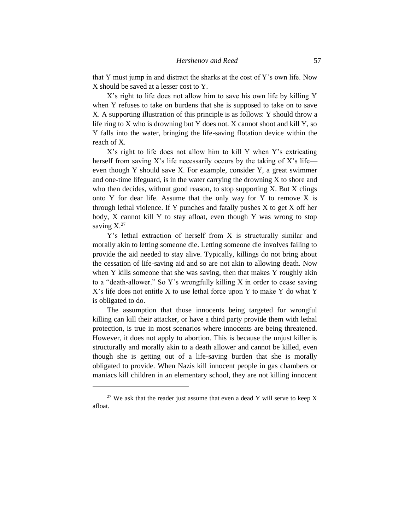that Y must jump in and distract the sharks at the cost of Y's own life. Now X should be saved at a lesser cost to Y.

X's right to life does not allow him to save his own life by killing Y when Y refuses to take on burdens that she is supposed to take on to save X. A supporting illustration of this principle is as follows: Y should throw a life ring to X who is drowning but Y does not. X cannot shoot and kill Y, so Y falls into the water, bringing the life-saving flotation device within the reach of X.

X's right to life does not allow him to kill Y when Y's extricating herself from saving X's life necessarily occurs by the taking of X's life even though Y should save X. For example, consider Y, a great swimmer and one-time lifeguard, is in the water carrying the drowning  $X$  to shore and who then decides, without good reason, to stop supporting X. But X clings onto Y for dear life. Assume that the only way for Y to remove X is through lethal violence. If Y punches and fatally pushes  $X$  to get  $X$  off her body, X cannot kill Y to stay afloat, even though Y was wrong to stop saving  $X^{27}$ 

Y's lethal extraction of herself from X is structurally similar and morally akin to letting someone die. Letting someone die involves failing to provide the aid needed to stay alive. Typically, killings do not bring about the cessation of life-saving aid and so are not akin to allowing death. Now when Y kills someone that she was saving, then that makes Y roughly akin to a "death-allower." So Y's wrongfully killing X in order to cease saving X's life does not entitle X to use lethal force upon Y to make Y do what Y is obligated to do.

The assumption that those innocents being targeted for wrongful killing can kill their attacker, or have a third party provide them with lethal protection, is true in most scenarios where innocents are being threatened. However, it does not apply to abortion. This is because the unjust killer is structurally and morally akin to a death allower and cannot be killed, even though she is getting out of a life-saving burden that she is morally obligated to provide. When Nazis kill innocent people in gas chambers or maniacs kill children in an elementary school, they are not killing innocent

 $27$  We ask that the reader just assume that even a dead Y will serve to keep X afloat.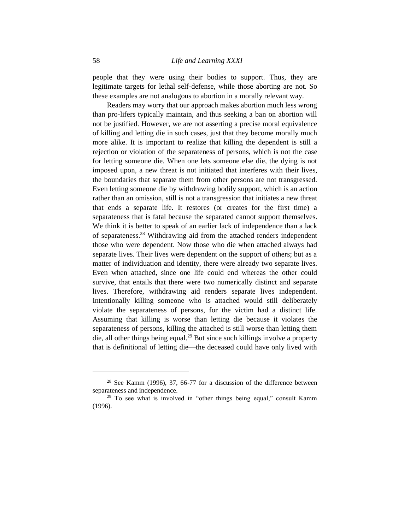people that they were using their bodies to support. Thus, they are legitimate targets for lethal self-defense, while those aborting are not. So these examples are not analogous to abortion in a morally relevant way.

Readers may worry that our approach makes abortion much less wrong than pro-lifers typically maintain, and thus seeking a ban on abortion will not be justified. However, we are not asserting a precise moral equivalence of killing and letting die in such cases, just that they become morally much more alike. It is important to realize that killing the dependent is still a rejection or violation of the separateness of persons, which is not the case for letting someone die. When one lets someone else die, the dying is not imposed upon, a new threat is not initiated that interferes with their lives, the boundaries that separate them from other persons are not transgressed. Even letting someone die by withdrawing bodily support, which is an action rather than an omission, still is not a transgression that initiates a new threat that ends a separate life. It restores (or creates for the first time) a separateness that is fatal because the separated cannot support themselves. We think it is better to speak of an earlier lack of independence than a lack of separateness.<sup>28</sup> Withdrawing aid from the attached renders independent those who were dependent. Now those who die when attached always had separate lives. Their lives were dependent on the support of others; but as a matter of individuation and identity, there were already two separate lives. Even when attached, since one life could end whereas the other could survive, that entails that there were two numerically distinct and separate lives. Therefore, withdrawing aid renders separate lives independent. Intentionally killing someone who is attached would still deliberately violate the separateness of persons, for the victim had a distinct life. Assuming that killing is worse than letting die because it violates the separateness of persons, killing the attached is still worse than letting them die, all other things being equal.<sup>29</sup> But since such killings involve a property that is definitional of letting die—the deceased could have only lived with

<sup>28</sup> See Kamm (1996), 37, 66-77 for a discussion of the difference between separateness and independence.

<sup>&</sup>lt;sup>29</sup> To see what is involved in "other things being equal," consult Kamm (1996).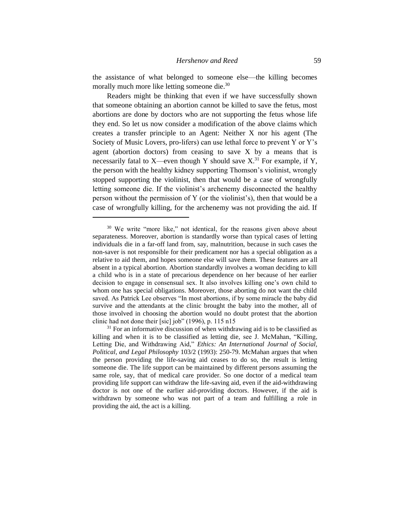the assistance of what belonged to someone else—the killing becomes morally much more like letting someone die.<sup>30</sup>

Readers might be thinking that even if we have successfully shown that someone obtaining an abortion cannot be killed to save the fetus, most abortions are done by doctors who are not supporting the fetus whose life they end. So let us now consider a modification of the above claims which creates a transfer principle to an Agent: Neither X nor his agent (The Society of Music Lovers, pro-lifers) can use lethal force to prevent Y or Y's agent (abortion doctors) from ceasing to save  $X$  by a means that is necessarily fatal to X—even though Y should save  $X^{31}$  For example, if Y, the person with the healthy kidney supporting Thomson's violinist, wrongly stopped supporting the violinist, then that would be a case of wrongfully letting someone die. If the violinist's archenemy disconnected the healthy person without the permission of Y (or the violinist's), then that would be a case of wrongfully killing, for the archenemy was not providing the aid. If

<sup>&</sup>lt;sup>30</sup> We write "more like," not identical, for the reasons given above about separateness. Moreover, abortion is standardly worse than typical cases of letting individuals die in a far-off land from, say, malnutrition, because in such cases the non-saver is not responsible for their predicament nor has a special obligation as a relative to aid them, and hopes someone else will save them. These features are all absent in a typical abortion. Abortion standardly involves a woman deciding to kill a child who is in a state of precarious dependence on her because of her earlier decision to engage in consensual sex. It also involves killing one's own child to whom one has special obligations. Moreover, those aborting do not want the child saved. As Patrick Lee observes "In most abortions, if by some miracle the baby did survive and the attendants at the clinic brought the baby into the mother, all of those involved in choosing the abortion would no doubt protest that the abortion clinic had not done their [sic] job" (1996), p. 115 n15

 $31$  For an informative discussion of when withdrawing aid is to be classified as killing and when it is to be classified as letting die, see J. McMahan, "Killing, Letting Die, and Withdrawing Aid," *Ethics: An International Journal of Social, Political, and Legal Philosophy* 103/2 (1993): 250-79. McMahan argues that when the person providing the life-saving aid ceases to do so, the result is letting someone die. The life support can be maintained by different persons assuming the same role, say, that of medical care provider. So one doctor of a medical team providing life support can withdraw the life-saving aid, even if the aid-withdrawing doctor is not one of the earlier aid-providing doctors. However, if the aid is withdrawn by someone who was not part of a team and fulfilling a role in providing the aid, the act is a killing.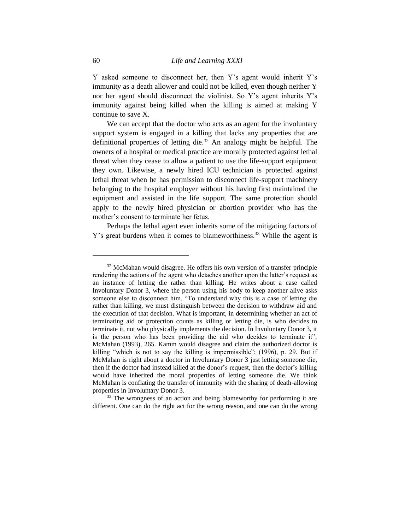Y asked someone to disconnect her, then Y's agent would inherit Y's immunity as a death allower and could not be killed, even though neither Y nor her agent should disconnect the violinist. So Y's agent inherits Y's immunity against being killed when the killing is aimed at making Y continue to save X.

We can accept that the doctor who acts as an agent for the involuntary support system is engaged in a killing that lacks any properties that are definitional properties of letting die.<sup>32</sup> An analogy might be helpful. The owners of a hospital or medical practice are morally protected against lethal threat when they cease to allow a patient to use the life-support equipment they own. Likewise, a newly hired ICU technician is protected against lethal threat when he has permission to disconnect life-support machinery belonging to the hospital employer without his having first maintained the equipment and assisted in the life support. The same protection should apply to the newly hired physician or abortion provider who has the mother's consent to terminate her fetus.

Perhaps the lethal agent even inherits some of the mitigating factors of Y's great burdens when it comes to blameworthiness.<sup>33</sup> While the agent is

<sup>33</sup> The wrongness of an action and being blameworthy for performing it are different. One can do the right act for the wrong reason, and one can do the wrong

<sup>&</sup>lt;sup>32</sup> McMahan would disagree. He offers his own version of a transfer principle rendering the actions of the agent who detaches another upon the latter's request as an instance of letting die rather than killing. He writes about a case called Involuntary Donor 3, where the person using his body to keep another alive asks someone else to disconnect him. "To understand why this is a case of letting die rather than killing, we must distinguish between the decision to withdraw aid and the execution of that decision. What is important, in determining whether an act of terminating aid or protection counts as killing or letting die, is who decides to terminate it, not who physically implements the decision. In Involuntary Donor 3, it is the person who has been providing the aid who decides to terminate it"; McMahan (1993), 265. Kamm would disagree and claim the authorized doctor is killing "which is not to say the killing is impermissible"; (1996), p. 29. But if McMahan is right about a doctor in Involuntary Donor 3 just letting someone die, then if the doctor had instead killed at the donor's request, then the doctor's killing would have inherited the moral properties of letting someone die. We think McMahan is conflating the transfer of immunity with the sharing of death-allowing properties in Involuntary Donor 3.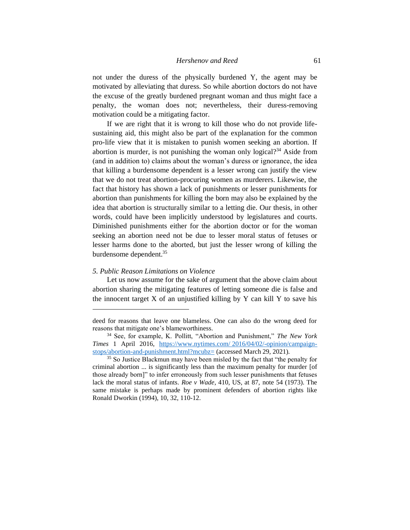not under the duress of the physically burdened Y, the agent may be motivated by alleviating that duress. So while abortion doctors do not have the excuse of the greatly burdened pregnant woman and thus might face a penalty, the woman does not; nevertheless, their duress-removing motivation could be a mitigating factor.

If we are right that it is wrong to kill those who do not provide lifesustaining aid, this might also be part of the explanation for the common pro-life view that it is mistaken to punish women seeking an abortion. If abortion is murder, is not punishing the woman only logical?<sup>34</sup> Aside from (and in addition to) claims about the woman's duress or ignorance, the idea that killing a burdensome dependent is a lesser wrong can justify the view that we do not treat abortion-procuring women as murderers. Likewise, the fact that history has shown a lack of punishments or lesser punishments for abortion than punishments for killing the born may also be explained by the idea that abortion is structurally similar to a letting die. Our thesis, in other words, could have been implicitly understood by legislatures and courts. Diminished punishments either for the abortion doctor or for the woman seeking an abortion need not be due to lesser moral status of fetuses or lesser harms done to the aborted, but just the lesser wrong of killing the burdensome dependent.<sup>35</sup>

#### *5. Public Reason Limitations on Violence*

Let us now assume for the sake of argument that the above claim about abortion sharing the mitigating features of letting someone die is false and the innocent target  $X$  of an unjustified killing by  $Y$  can kill  $Y$  to save his

deed for reasons that leave one blameless. One can also do the wrong deed for reasons that mitigate one's blameworthiness.

<sup>34</sup> See, for example, K. Pollitt, "Abortion and Punishment," *The New York Times* 1 April 2016, https://www.nytimes.com/ [2016/04/02/-opinion/campaign](https://www.nytimes.com/ 2016/04/02/opinion/campaign-stops/abortion-and-punishment.html?mcubz=)[stops/abortion-and-punishment.html?mcubz=](https://www.nytimes.com/ 2016/04/02/opinion/campaign-stops/abortion-and-punishment.html?mcubz=) (accessed March 29, 2021).

<sup>&</sup>lt;sup>35</sup> So Justice Blackmun may have been misled by the fact that "the penalty for criminal abortion ... is significantly less than the maximum penalty for murder [of those already born]" to infer erroneously from such lesser punishments that fetuses lack the moral status of infants. *Roe v Wade*, 410, US, at 87, note 54 (1973). The same mistake is perhaps made by prominent defenders of abortion rights like Ronald Dworkin (1994), 10, 32, 110-12.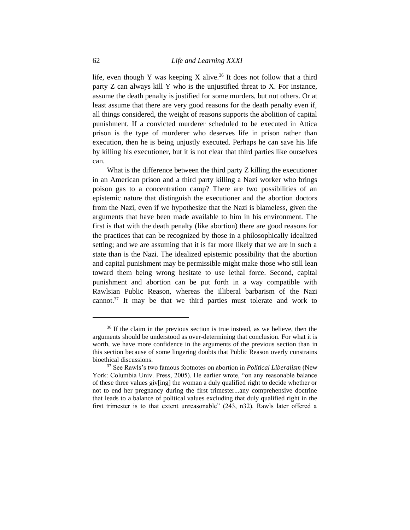life, even though Y was keeping X alive.<sup>36</sup> It does not follow that a third party Z can always kill Y who is the unjustified threat to X. For instance, assume the death penalty is justified for some murders, but not others. Or at least assume that there are very good reasons for the death penalty even if, all things considered, the weight of reasons supports the abolition of capital punishment. If a convicted murderer scheduled to be executed in Attica prison is the type of murderer who deserves life in prison rather than execution, then he is being unjustly executed. Perhaps he can save his life by killing his executioner, but it is not clear that third parties like ourselves can.

What is the difference between the third party Z killing the executioner in an American prison and a third party killing a Nazi worker who brings poison gas to a concentration camp? There are two possibilities of an epistemic nature that distinguish the executioner and the abortion doctors from the Nazi, even if we hypothesize that the Nazi is blameless, given the arguments that have been made available to him in his environment. The first is that with the death penalty (like abortion) there are good reasons for the practices that can be recognized by those in a philosophically idealized setting; and we are assuming that it is far more likely that we are in such a state than is the Nazi. The idealized epistemic possibility that the abortion and capital punishment may be permissible might make those who still lean toward them being wrong hesitate to use lethal force. Second, capital punishment and abortion can be put forth in a way compatible with Rawlsian Public Reason, whereas the illiberal barbarism of the Nazi cannot.<sup>37</sup> It may be that we third parties must tolerate and work to

<sup>&</sup>lt;sup>36</sup> If the claim in the previous section is true instead, as we believe, then the arguments should be understood as over-determining that conclusion. For what it is worth, we have more confidence in the arguments of the previous section than in this section because of some lingering doubts that Public Reason overly constrains bioethical discussions.

<sup>37</sup> See Rawls's two famous footnotes on abortion in *Political Liberalism* (New York: Columbia Univ. Press, 2005). He earlier wrote, "on any reasonable balance of these three values giv[ing] the woman a duly qualified right to decide whether or not to end her pregnancy during the first trimester...any comprehensive doctrine that leads to a balance of political values excluding that duly qualified right in the first trimester is to that extent unreasonable" (243, n32). Rawls later offered a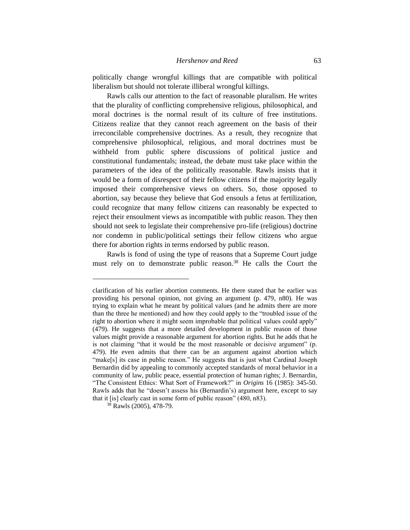politically change wrongful killings that are compatible with political liberalism but should not tolerate illiberal wrongful killings.

Rawls calls our attention to the fact of reasonable pluralism. He writes that the plurality of conflicting comprehensive religious, philosophical, and moral doctrines is the normal result of its culture of free institutions. Citizens realize that they cannot reach agreement on the basis of their irreconcilable comprehensive doctrines. As a result, they recognize that comprehensive philosophical, religious, and moral doctrines must be withheld from public sphere discussions of political justice and constitutional fundamentals; instead, the debate must take place within the parameters of the idea of the politically reasonable. Rawls insists that it would be a form of disrespect of their fellow citizens if the majority legally imposed their comprehensive views on others. So, those opposed to abortion, say because they believe that God ensouls a fetus at fertilization, could recognize that many fellow citizens can reasonably be expected to reject their ensoulment views as incompatible with public reason. They then should not seek to legislate their comprehensive pro-life (religious) doctrine nor condemn in public/political settings their fellow citizens who argue there for abortion rights in terms endorsed by public reason.

Rawls is fond of using the type of reasons that a Supreme Court judge must rely on to demonstrate public reason.<sup>38</sup> He calls the Court the

clarification of his earlier abortion comments. He there stated that he earlier was providing his personal opinion, not giving an argument (p. 479, n80). He was trying to explain what he meant by political values (and he admits there are more than the three he mentioned) and how they could apply to the "troubled issue of the right to abortion where it might seem improbable that political values could apply" (479). He suggests that a more detailed development in public reason of those values might provide a reasonable argument for abortion rights. But he adds that he is not claiming "that it would be the most reasonable or decisive argument" (p. 479). He even admits that there can be an argument against abortion which "make[s] its case in public reason." He suggests that is just what Cardinal Joseph Bernardin did by appealing to commonly accepted standards of moral behavior in a community of law, public peace, essential protection of human rights; J. Bernardin, "The Consistent Ethics: What Sort of Framework?" in *Origins* 16 (1985): 345-50. Rawls adds that he "doesn't assess his (Bernardin's) argument here, except to say that it [is] clearly cast in some form of public reason" (480, n83).

 $38$  Rawls (2005), 478-79.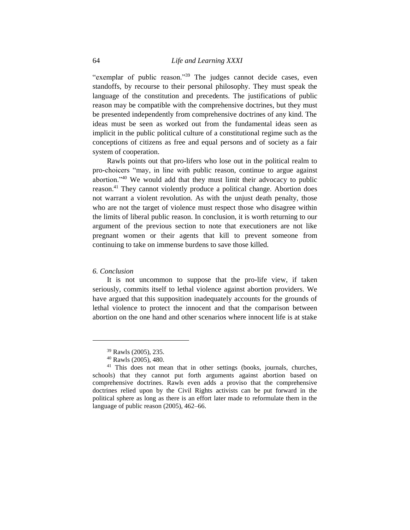"exemplar of public reason."<sup>39</sup> The judges cannot decide cases, even standoffs, by recourse to their personal philosophy. They must speak the language of the constitution and precedents. The justifications of public reason may be compatible with the comprehensive doctrines, but they must be presented independently from comprehensive doctrines of any kind. The ideas must be seen as worked out from the fundamental ideas seen as implicit in the public political culture of a constitutional regime such as the conceptions of citizens as free and equal persons and of society as a fair system of cooperation.

Rawls points out that pro-lifers who lose out in the political realm to pro-choicers "may, in line with public reason, continue to argue against abortion."<sup>40</sup> We would add that they must limit their advocacy to public reason.<sup>41</sup> They cannot violently produce a political change. Abortion does not warrant a violent revolution. As with the unjust death penalty, those who are not the target of violence must respect those who disagree within the limits of liberal public reason. In conclusion, it is worth returning to our argument of the previous section to note that executioners are not like pregnant women or their agents that kill to prevent someone from continuing to take on immense burdens to save those killed.

# *6. Conclusion*

It is not uncommon to suppose that the pro-life view, if taken seriously, commits itself to lethal violence against abortion providers. We have argued that this supposition inadequately accounts for the grounds of lethal violence to protect the innocent and that the comparison between abortion on the one hand and other scenarios where innocent life is at stake

<sup>39</sup> Rawls (2005), 235.

<sup>40</sup> Rawls (2005), 480.

<sup>&</sup>lt;sup>41</sup> This does not mean that in other settings (books, journals, churches, schools) that they cannot put forth arguments against abortion based on comprehensive doctrines. Rawls even adds a proviso that the comprehensive doctrines relied upon by the Civil Rights activists can be put forward in the political sphere as long as there is an effort later made to reformulate them in the language of public reason (2005), 462–66.